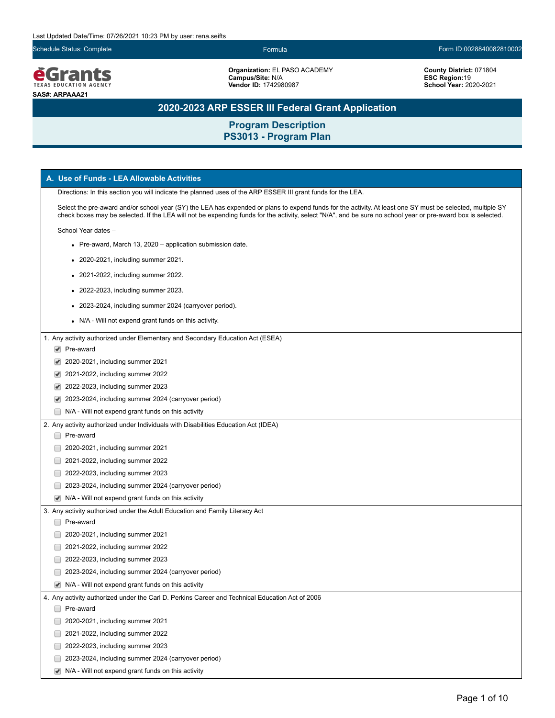

**Organization:** EL PASO ACADEMY **Campus/Site:** N/A **Vendor ID:** 1742980987

**County District:** 071804 **ESC Region:**19 **School Year:** 2020-2021

# **2020-2023 ARP ESSER III Federal Grant Application**

| A. Use of Funds - LEA Allowable Activities                                                                                                                                                                                                                                                                                 |  |  |  |
|----------------------------------------------------------------------------------------------------------------------------------------------------------------------------------------------------------------------------------------------------------------------------------------------------------------------------|--|--|--|
| Directions: In this section you will indicate the planned uses of the ARP ESSER III grant funds for the LEA.                                                                                                                                                                                                               |  |  |  |
| Select the pre-award and/or school year (SY) the LEA has expended or plans to expend funds for the activity. At least one SY must be selected, multiple SY<br>check boxes may be selected. If the LEA will not be expending funds for the activity, select "N/A", and be sure no school year or pre-award box is selected. |  |  |  |
| School Year dates -                                                                                                                                                                                                                                                                                                        |  |  |  |
| • Pre-award, March 13, 2020 – application submission date.                                                                                                                                                                                                                                                                 |  |  |  |
| • 2020-2021, including summer 2021.                                                                                                                                                                                                                                                                                        |  |  |  |
| 2021-2022, including summer 2022.                                                                                                                                                                                                                                                                                          |  |  |  |
| • 2022-2023, including summer 2023.                                                                                                                                                                                                                                                                                        |  |  |  |
|                                                                                                                                                                                                                                                                                                                            |  |  |  |
| • 2023-2024, including summer 2024 (carryover period).                                                                                                                                                                                                                                                                     |  |  |  |
| • N/A - Will not expend grant funds on this activity.                                                                                                                                                                                                                                                                      |  |  |  |
| 1. Any activity authorized under Elementary and Secondary Education Act (ESEA)                                                                                                                                                                                                                                             |  |  |  |
| $\blacktriangleright$ Pre-award                                                                                                                                                                                                                                                                                            |  |  |  |
| 2020-2021, including summer 2021                                                                                                                                                                                                                                                                                           |  |  |  |
| 2021-2022, including summer 2022<br>✔                                                                                                                                                                                                                                                                                      |  |  |  |
| 2022-2023, including summer 2023                                                                                                                                                                                                                                                                                           |  |  |  |
| 2023-2024, including summer 2024 (carryover period)<br>$\blacktriangledown$                                                                                                                                                                                                                                                |  |  |  |
| N/A - Will not expend grant funds on this activity                                                                                                                                                                                                                                                                         |  |  |  |
| 2. Any activity authorized under Individuals with Disabilities Education Act (IDEA)                                                                                                                                                                                                                                        |  |  |  |
| Pre-award                                                                                                                                                                                                                                                                                                                  |  |  |  |
| 2020-2021, including summer 2021                                                                                                                                                                                                                                                                                           |  |  |  |
| 2021-2022, including summer 2022                                                                                                                                                                                                                                                                                           |  |  |  |
| 2022-2023, including summer 2023                                                                                                                                                                                                                                                                                           |  |  |  |
| 2023-2024, including summer 2024 (carryover period)                                                                                                                                                                                                                                                                        |  |  |  |
| N/A - Will not expend grant funds on this activity<br>$\blacktriangledown$                                                                                                                                                                                                                                                 |  |  |  |
| 3. Any activity authorized under the Adult Education and Family Literacy Act                                                                                                                                                                                                                                               |  |  |  |
| Pre-award                                                                                                                                                                                                                                                                                                                  |  |  |  |
| 2020-2021, including summer 2021                                                                                                                                                                                                                                                                                           |  |  |  |
| 2021-2022, including summer 2022                                                                                                                                                                                                                                                                                           |  |  |  |
| 2022-2023, including summer 2023                                                                                                                                                                                                                                                                                           |  |  |  |
| 2023-2024, including summer 2024 (carryover period)                                                                                                                                                                                                                                                                        |  |  |  |
| $\blacktriangleright$ N/A - Will not expend grant funds on this activity                                                                                                                                                                                                                                                   |  |  |  |
| 4. Any activity authorized under the Carl D. Perkins Career and Technical Education Act of 2006                                                                                                                                                                                                                            |  |  |  |
| Pre-award                                                                                                                                                                                                                                                                                                                  |  |  |  |
| 2020-2021, including summer 2021                                                                                                                                                                                                                                                                                           |  |  |  |
| 2021-2022, including summer 2022                                                                                                                                                                                                                                                                                           |  |  |  |
| 2022-2023, including summer 2023                                                                                                                                                                                                                                                                                           |  |  |  |
| 2023-2024, including summer 2024 (carryover period)                                                                                                                                                                                                                                                                        |  |  |  |
| N/A - Will not expend grant funds on this activity<br>$\blacktriangledown$                                                                                                                                                                                                                                                 |  |  |  |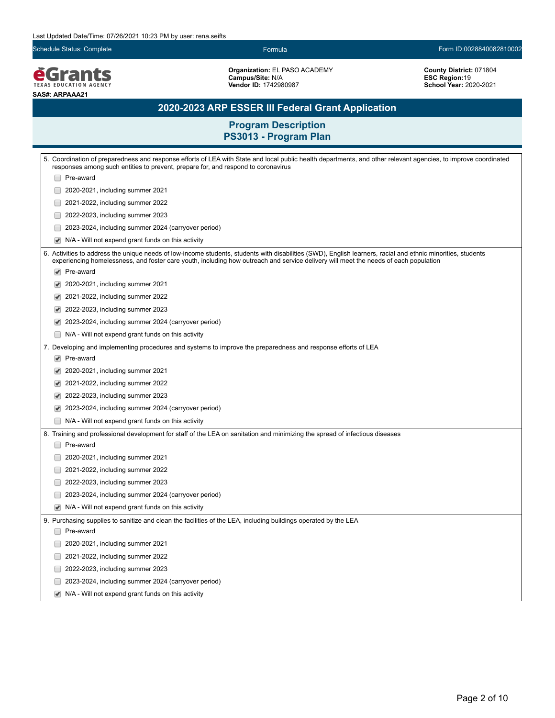*<u>EGrants</u>* **SAS#: ARPAAA21**

**Organization:** EL PASO ACADEMY **Campus/Site:** N/A **Vendor ID:** 1742980987

**County District:** 071804 **ESC Region:**19 **School Year:** 2020-2021

# **2020-2023 ARP ESSER III Federal Grant Application**

|                      | 5. Coordination of preparedness and response efforts of LEA with State and local public health departments, and other relevant agencies, to improve coordinated<br>responses among such entities to prevent, prepare for, and respond to coronavirus                                                 |
|----------------------|------------------------------------------------------------------------------------------------------------------------------------------------------------------------------------------------------------------------------------------------------------------------------------------------------|
|                      | Pre-award                                                                                                                                                                                                                                                                                            |
|                      | 2020-2021, including summer 2021                                                                                                                                                                                                                                                                     |
|                      | 2021-2022, including summer 2022                                                                                                                                                                                                                                                                     |
|                      | 2022-2023, including summer 2023                                                                                                                                                                                                                                                                     |
|                      | 2023-2024, including summer 2024 (carryover period)                                                                                                                                                                                                                                                  |
| ✔                    | N/A - Will not expend grant funds on this activity                                                                                                                                                                                                                                                   |
|                      | 6. Activities to address the unique needs of low-income students, students with disabilities (SWD), English learners, racial and ethnic minorities, students<br>experiencing homelessness, and foster care youth, including how outreach and service delivery will meet the needs of each population |
| $\blacktriangledown$ | Pre-award                                                                                                                                                                                                                                                                                            |
|                      | 2020-2021, including summer 2021                                                                                                                                                                                                                                                                     |
|                      | 2021-2022, including summer 2022                                                                                                                                                                                                                                                                     |
|                      | 2022-2023, including summer 2023                                                                                                                                                                                                                                                                     |
|                      | 2023-2024, including summer 2024 (carryover period)                                                                                                                                                                                                                                                  |
|                      | N/A - Will not expend grant funds on this activity                                                                                                                                                                                                                                                   |
|                      | 7. Developing and implementing procedures and systems to improve the preparedness and response efforts of LEA                                                                                                                                                                                        |
|                      | $\blacktriangleright$ Pre-award                                                                                                                                                                                                                                                                      |
| ✔                    | 2020-2021, including summer 2021                                                                                                                                                                                                                                                                     |
| ✔                    | 2021-2022, including summer 2022                                                                                                                                                                                                                                                                     |
| ✔                    | 2022-2023, including summer 2023                                                                                                                                                                                                                                                                     |
| ✔                    | 2023-2024, including summer 2024 (carryover period)                                                                                                                                                                                                                                                  |
|                      | N/A - Will not expend grant funds on this activity                                                                                                                                                                                                                                                   |
|                      | 8. Training and professional development for staff of the LEA on sanitation and minimizing the spread of infectious diseases                                                                                                                                                                         |
|                      | Pre-award                                                                                                                                                                                                                                                                                            |
|                      | 2020-2021, including summer 2021                                                                                                                                                                                                                                                                     |
| $\Box$               | 2021-2022, including summer 2022                                                                                                                                                                                                                                                                     |
| $\Box$               | 2022-2023, including summer 2023                                                                                                                                                                                                                                                                     |
|                      | 2023-2024, including summer 2024 (carryover period)                                                                                                                                                                                                                                                  |
|                      | N/A - Will not expend grant funds on this activity                                                                                                                                                                                                                                                   |
|                      | 9. Purchasing supplies to sanitize and clean the facilities of the LEA, including buildings operated by the LEA                                                                                                                                                                                      |
|                      | Pre-award                                                                                                                                                                                                                                                                                            |
|                      | 2020-2021, including summer 2021                                                                                                                                                                                                                                                                     |
|                      | 2021-2022, including summer 2022                                                                                                                                                                                                                                                                     |
|                      | 2022-2023, including summer 2023                                                                                                                                                                                                                                                                     |
|                      | 2023-2024, including summer 2024 (carryover period)                                                                                                                                                                                                                                                  |
| ✔                    | N/A - Will not expend grant funds on this activity                                                                                                                                                                                                                                                   |
|                      |                                                                                                                                                                                                                                                                                                      |
|                      |                                                                                                                                                                                                                                                                                                      |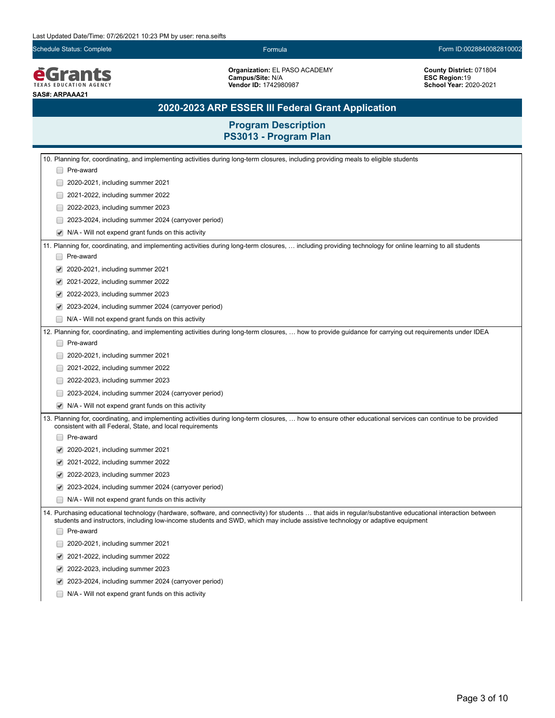*<u>EGrants</u>* **SAS#: ARPAAA21**

**Organization:** EL PASO ACADEMY **Campus/Site:** N/A **Vendor ID:** 1742980987

**County District:** 071804 **ESC Region:**19 **School Year:** 2020-2021

# **2020-2023 ARP ESSER III Federal Grant Application**

|                                                                                                                                                                                                                            | 10. Planning for, coordinating, and implementing activities during long-term closures, including providing meals to eligible students                                                                                                                                                        |  |
|----------------------------------------------------------------------------------------------------------------------------------------------------------------------------------------------------------------------------|----------------------------------------------------------------------------------------------------------------------------------------------------------------------------------------------------------------------------------------------------------------------------------------------|--|
|                                                                                                                                                                                                                            | Pre-award                                                                                                                                                                                                                                                                                    |  |
|                                                                                                                                                                                                                            | 2020-2021, including summer 2021                                                                                                                                                                                                                                                             |  |
|                                                                                                                                                                                                                            | 2021-2022, including summer 2022                                                                                                                                                                                                                                                             |  |
|                                                                                                                                                                                                                            | 2022-2023, including summer 2023                                                                                                                                                                                                                                                             |  |
|                                                                                                                                                                                                                            | 2023-2024, including summer 2024 (carryover period)                                                                                                                                                                                                                                          |  |
|                                                                                                                                                                                                                            | N/A - Will not expend grant funds on this activity                                                                                                                                                                                                                                           |  |
|                                                                                                                                                                                                                            | 11. Planning for, coordinating, and implementing activities during long-term closures,  including providing technology for online learning to all students                                                                                                                                   |  |
|                                                                                                                                                                                                                            | Pre-award                                                                                                                                                                                                                                                                                    |  |
|                                                                                                                                                                                                                            | 2020-2021, including summer 2021                                                                                                                                                                                                                                                             |  |
|                                                                                                                                                                                                                            | 2021-2022, including summer 2022                                                                                                                                                                                                                                                             |  |
|                                                                                                                                                                                                                            | 2022-2023, including summer 2023                                                                                                                                                                                                                                                             |  |
|                                                                                                                                                                                                                            | 2023-2024, including summer 2024 (carryover period)                                                                                                                                                                                                                                          |  |
|                                                                                                                                                                                                                            | N/A - Will not expend grant funds on this activity                                                                                                                                                                                                                                           |  |
|                                                                                                                                                                                                                            | 12. Planning for, coordinating, and implementing activities during long-term closures,  how to provide guidance for carrying out requirements under IDEA                                                                                                                                     |  |
|                                                                                                                                                                                                                            | Pre-award                                                                                                                                                                                                                                                                                    |  |
|                                                                                                                                                                                                                            | 2020-2021, including summer 2021                                                                                                                                                                                                                                                             |  |
|                                                                                                                                                                                                                            | 2021-2022, including summer 2022                                                                                                                                                                                                                                                             |  |
|                                                                                                                                                                                                                            | 2022-2023, including summer 2023                                                                                                                                                                                                                                                             |  |
|                                                                                                                                                                                                                            | 2023-2024, including summer 2024 (carryover period)                                                                                                                                                                                                                                          |  |
|                                                                                                                                                                                                                            | N/A - Will not expend grant funds on this activity                                                                                                                                                                                                                                           |  |
| 13. Planning for, coordinating, and implementing activities during long-term closures,  how to ensure other educational services can continue to be provided<br>consistent with all Federal, State, and local requirements |                                                                                                                                                                                                                                                                                              |  |
|                                                                                                                                                                                                                            | Pre-award                                                                                                                                                                                                                                                                                    |  |
|                                                                                                                                                                                                                            | 2020-2021, including summer 2021                                                                                                                                                                                                                                                             |  |
|                                                                                                                                                                                                                            | 2021-2022, including summer 2022                                                                                                                                                                                                                                                             |  |
|                                                                                                                                                                                                                            | 2022-2023, including summer 2023                                                                                                                                                                                                                                                             |  |
|                                                                                                                                                                                                                            | 2023-2024, including summer 2024 (carryover period)                                                                                                                                                                                                                                          |  |
|                                                                                                                                                                                                                            | N/A - Will not expend grant funds on this activity                                                                                                                                                                                                                                           |  |
|                                                                                                                                                                                                                            | 14. Purchasing educational technology (hardware, software, and connectivity) for students  that aids in regular/substantive educational interaction between<br>students and instructors, including low-income students and SWD, which may include assistive technology or adaptive equipment |  |
|                                                                                                                                                                                                                            | Pre-award                                                                                                                                                                                                                                                                                    |  |
|                                                                                                                                                                                                                            | 2020-2021, including summer 2021                                                                                                                                                                                                                                                             |  |
|                                                                                                                                                                                                                            | 2021-2022, including summer 2022                                                                                                                                                                                                                                                             |  |
|                                                                                                                                                                                                                            | 2022-2023, including summer 2023                                                                                                                                                                                                                                                             |  |
|                                                                                                                                                                                                                            | 2023-2024, including summer 2024 (carryover period)                                                                                                                                                                                                                                          |  |
|                                                                                                                                                                                                                            | N/A - Will not expend grant funds on this activity                                                                                                                                                                                                                                           |  |
|                                                                                                                                                                                                                            |                                                                                                                                                                                                                                                                                              |  |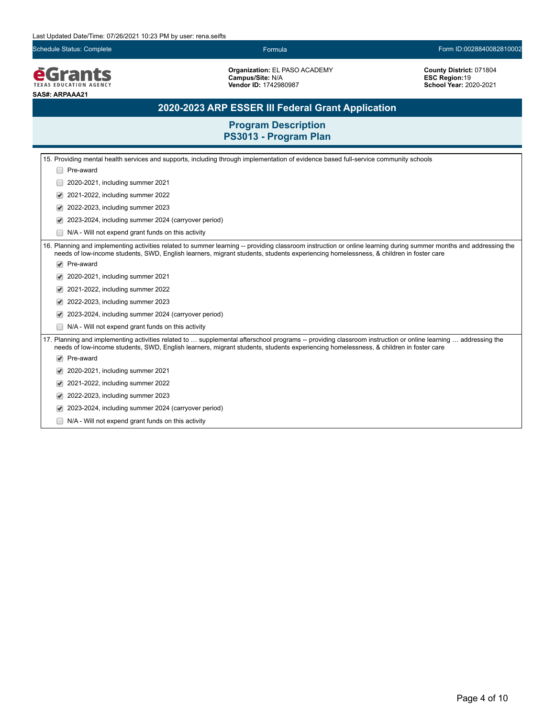**EGrants SAS#: ARPAAA21**

**Organization:** EL PASO ACADEMY **Campus/Site:** N/A **Vendor ID:** 1742980987

**County District:** 071804 **ESC Region:**19 **School Year:** 2020-2021

# **2020-2023 ARP ESSER III Federal Grant Application**

| 15. Providing mental health services and supports, including through implementation of evidence based full-service community schools |                                                                                                                                                                                                                                                                                                           |  |
|--------------------------------------------------------------------------------------------------------------------------------------|-----------------------------------------------------------------------------------------------------------------------------------------------------------------------------------------------------------------------------------------------------------------------------------------------------------|--|
|                                                                                                                                      | Pre-award                                                                                                                                                                                                                                                                                                 |  |
|                                                                                                                                      | 2020-2021, including summer 2021                                                                                                                                                                                                                                                                          |  |
|                                                                                                                                      | 2021-2022, including summer 2022                                                                                                                                                                                                                                                                          |  |
|                                                                                                                                      | 2022-2023, including summer 2023                                                                                                                                                                                                                                                                          |  |
|                                                                                                                                      | 2023-2024, including summer 2024 (carryover period)                                                                                                                                                                                                                                                       |  |
|                                                                                                                                      | N/A - Will not expend grant funds on this activity                                                                                                                                                                                                                                                        |  |
|                                                                                                                                      | 16. Planning and implementing activities related to summer learning -- providing classroom instruction or online learning during summer months and addressing the<br>needs of low-income students, SWD, English learners, migrant students, students experiencing homelessness, & children in foster care |  |
|                                                                                                                                      | Pre-award                                                                                                                                                                                                                                                                                                 |  |
|                                                                                                                                      | 2020-2021, including summer 2021                                                                                                                                                                                                                                                                          |  |
|                                                                                                                                      | 2021-2022, including summer 2022                                                                                                                                                                                                                                                                          |  |
|                                                                                                                                      | 2022-2023, including summer 2023                                                                                                                                                                                                                                                                          |  |
|                                                                                                                                      | 2023-2024, including summer 2024 (carryover period)                                                                                                                                                                                                                                                       |  |
|                                                                                                                                      | N/A - Will not expend grant funds on this activity                                                                                                                                                                                                                                                        |  |
|                                                                                                                                      | 17. Planning and implementing activities related to  supplemental afterschool programs -- providing classroom instruction or online learning  addressing the<br>needs of low-income students, SWD, English learners, migrant students, students experiencing homelessness, & children in foster care      |  |
|                                                                                                                                      | Pre-award                                                                                                                                                                                                                                                                                                 |  |
|                                                                                                                                      | 2020-2021, including summer 2021                                                                                                                                                                                                                                                                          |  |
|                                                                                                                                      | 2021-2022, including summer 2022                                                                                                                                                                                                                                                                          |  |
|                                                                                                                                      | 2022-2023, including summer 2023                                                                                                                                                                                                                                                                          |  |
|                                                                                                                                      | 2023-2024, including summer 2024 (carryover period)                                                                                                                                                                                                                                                       |  |
|                                                                                                                                      | N/A - Will not expend grant funds on this activity                                                                                                                                                                                                                                                        |  |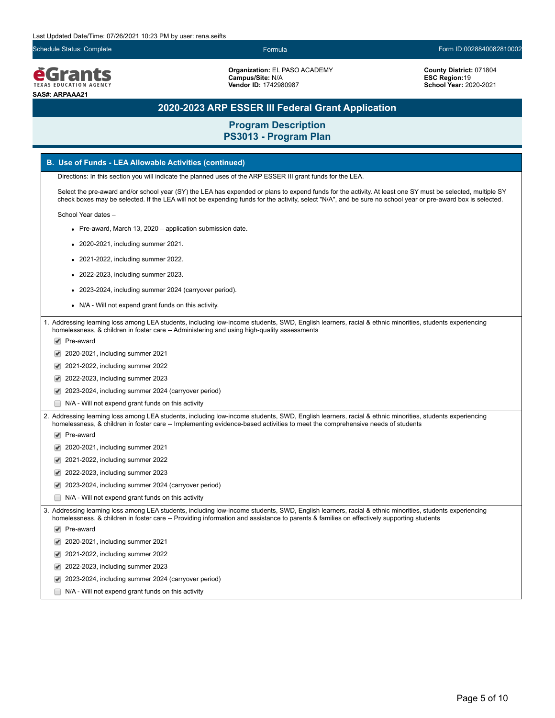**é**Grants **EXAS EDUCATION AGEN SAS#: ARPAAA21**

**Organization:** EL PASO ACADEMY **Campus/Site:** N/A **Vendor ID:** 1742980987

**County District:** 071804 **ESC Region:**19 **School Year:** 2020-2021

## **2020-2023 ARP ESSER III Federal Grant Application**

**Program Description PS3013 - Program Plan**

### **B. Use of Funds - LEA Allowable Activities (continued)**

Directions: In this section you will indicate the planned uses of the ARP ESSER III grant funds for the LEA.

Select the pre-award and/or school year (SY) the LEA has expended or plans to expend funds for the activity. At least one SY must be selected, multiple SY check boxes may be selected. If the LEA will not be expending funds for the activity, select "N/A", and be sure no school year or pre-award box is selected.

School Year dates –

- Pre-award, March 13, 2020 application submission date.
- 2020-2021, including summer 2021.
- 2021-2022, including summer 2022.
- 2022-2023, including summer 2023.
- 2023-2024, including summer 2024 (carryover period).
- N/A Will not expend grant funds on this activity.

1. Addressing learning loss among LEA students, including low-income students, SWD, English learners, racial & ethnic minorities, students experiencing homelessness, & children in foster care -- Administering and using high-quality assessments

- ◆ Pre-award
- 2020-2021, including summer 2021
- 2021-2022, including summer 2022
- 2022-2023, including summer 2023
- 2023-2024, including summer 2024 (carryover period)
- N/A Will not expend grant funds on this activity

2. Addressing learning loss among LEA students, including low-income students, SWD, English learners, racial & ethnic minorities, students experiencing homelessness, & children in foster care -- Implementing evidence-based activities to meet the comprehensive needs of students

- Pre-award
- 2020-2021, including summer 2021
- 2021-2022, including summer 2022
- 2022-2023, including summer 2023
- 2023-2024, including summer 2024 (carryover period)
- N/A Will not expend grant funds on this activity

3. Addressing learning loss among LEA students, including low-income students, SWD, English learners, racial & ethnic minorities, students experiencing homelessness, & children in foster care -- Providing information and assistance to parents & families on effectively supporting students

◆ Pre-award

- 2020-2021, including summer 2021
- 2021-2022, including summer 2022
- 2022-2023, including summer 2023
- 2023-2024, including summer 2024 (carryover period)
- N/A Will not expend grant funds on this activity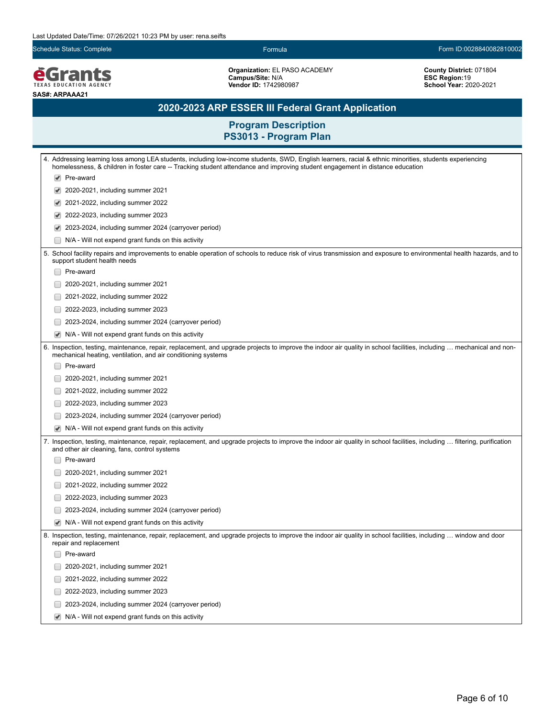**EGrants SAS#: ARPAAA21**

**Organization:** EL PASO ACADEMY **Campus/Site:** N/A **Vendor ID:** 1742980987

**County District:** 071804 **ESC Region:**19 **School Year:** 2020-2021

# **2020-2023 ARP ESSER III Federal Grant Application**

|                                                                                                                                                                                                                            | 4. Addressing learning loss among LEA students, including low-income students, SWD, English learners, racial & ethnic minorities, students experiencing<br>homelessness, & children in foster care -- Tracking student attendance and improving student engagement in distance education |
|----------------------------------------------------------------------------------------------------------------------------------------------------------------------------------------------------------------------------|------------------------------------------------------------------------------------------------------------------------------------------------------------------------------------------------------------------------------------------------------------------------------------------|
| $\blacktriangledown$                                                                                                                                                                                                       | Pre-award                                                                                                                                                                                                                                                                                |
| ✔                                                                                                                                                                                                                          | 2020-2021, including summer 2021                                                                                                                                                                                                                                                         |
| ✔                                                                                                                                                                                                                          | 2021-2022, including summer 2022                                                                                                                                                                                                                                                         |
| ✔                                                                                                                                                                                                                          | 2022-2023, including summer 2023                                                                                                                                                                                                                                                         |
| ✔                                                                                                                                                                                                                          | 2023-2024, including summer 2024 (carryover period)                                                                                                                                                                                                                                      |
|                                                                                                                                                                                                                            | N/A - Will not expend grant funds on this activity                                                                                                                                                                                                                                       |
| 5. School facility repairs and improvements to enable operation of schools to reduce risk of virus transmission and exposure to environmental health hazards, and to<br>support student health needs                       |                                                                                                                                                                                                                                                                                          |
|                                                                                                                                                                                                                            | Pre-award                                                                                                                                                                                                                                                                                |
|                                                                                                                                                                                                                            | 2020-2021, including summer 2021                                                                                                                                                                                                                                                         |
|                                                                                                                                                                                                                            | 2021-2022, including summer 2022                                                                                                                                                                                                                                                         |
|                                                                                                                                                                                                                            | 2022-2023, including summer 2023                                                                                                                                                                                                                                                         |
|                                                                                                                                                                                                                            | 2023-2024, including summer 2024 (carryover period)                                                                                                                                                                                                                                      |
|                                                                                                                                                                                                                            | N/A - Will not expend grant funds on this activity                                                                                                                                                                                                                                       |
|                                                                                                                                                                                                                            | 6. Inspection, testing, maintenance, repair, replacement, and upgrade projects to improve the indoor air quality in school facilities, including  mechanical and non-<br>mechanical heating, ventilation, and air conditioning systems                                                   |
|                                                                                                                                                                                                                            | Pre-award                                                                                                                                                                                                                                                                                |
|                                                                                                                                                                                                                            | 2020-2021, including summer 2021                                                                                                                                                                                                                                                         |
|                                                                                                                                                                                                                            | 2021-2022, including summer 2022                                                                                                                                                                                                                                                         |
|                                                                                                                                                                                                                            | 2022-2023, including summer 2023                                                                                                                                                                                                                                                         |
|                                                                                                                                                                                                                            | 2023-2024, including summer 2024 (carryover period)                                                                                                                                                                                                                                      |
|                                                                                                                                                                                                                            | N/A - Will not expend grant funds on this activity                                                                                                                                                                                                                                       |
| 7. Inspection, testing, maintenance, repair, replacement, and upgrade projects to improve the indoor air quality in school facilities, including  filtering, purification<br>and other air cleaning, fans, control systems |                                                                                                                                                                                                                                                                                          |
|                                                                                                                                                                                                                            | Pre-award                                                                                                                                                                                                                                                                                |
|                                                                                                                                                                                                                            | 2020-2021, including summer 2021                                                                                                                                                                                                                                                         |
|                                                                                                                                                                                                                            | 2021-2022, including summer 2022                                                                                                                                                                                                                                                         |
|                                                                                                                                                                                                                            | 2022-2023, including summer 2023                                                                                                                                                                                                                                                         |
|                                                                                                                                                                                                                            | 2023-2024, including summer 2024 (carryover period)                                                                                                                                                                                                                                      |
| $\blacktriangledown$                                                                                                                                                                                                       | N/A - Will not expend grant funds on this activity                                                                                                                                                                                                                                       |
|                                                                                                                                                                                                                            | 8. Inspection, testing, maintenance, repair, replacement, and upgrade projects to improve the indoor air quality in school facilities, including  window and door<br>repair and replacement                                                                                              |
|                                                                                                                                                                                                                            | Pre-award                                                                                                                                                                                                                                                                                |
|                                                                                                                                                                                                                            | 2020-2021, including summer 2021                                                                                                                                                                                                                                                         |
|                                                                                                                                                                                                                            | 2021-2022, including summer 2022                                                                                                                                                                                                                                                         |
|                                                                                                                                                                                                                            | 2022-2023, including summer 2023                                                                                                                                                                                                                                                         |
|                                                                                                                                                                                                                            | 2023-2024, including summer 2024 (carryover period)                                                                                                                                                                                                                                      |
|                                                                                                                                                                                                                            | $\blacktriangleright$ N/A - Will not expend grant funds on this activity                                                                                                                                                                                                                 |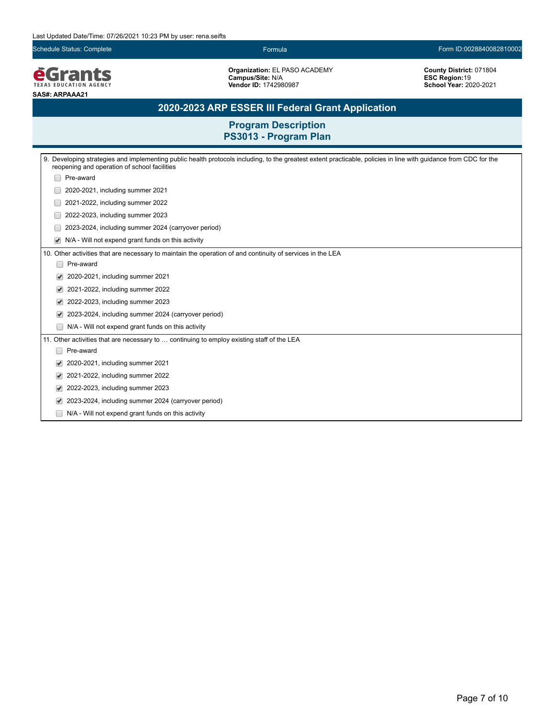**EGrants SAS#: ARPAAA21**

**Organization:** EL PASO ACADEMY **Campus/Site:** N/A **Vendor ID:** 1742980987

**County District:** 071804 **ESC Region:**19 **School Year:** 2020-2021

## **2020-2023 ARP ESSER III Federal Grant Application**

| Developing strategies and implementing public health protocols including, to the greatest extent practicable, policies in line with guidance from CDC for the<br>9.<br>reopening and operation of school facilities |  |  |  |
|---------------------------------------------------------------------------------------------------------------------------------------------------------------------------------------------------------------------|--|--|--|
| Pre-award                                                                                                                                                                                                           |  |  |  |
| 2020-2021, including summer 2021                                                                                                                                                                                    |  |  |  |
| 2021-2022, including summer 2022                                                                                                                                                                                    |  |  |  |
| 2022-2023, including summer 2023                                                                                                                                                                                    |  |  |  |
| 2023-2024, including summer 2024 (carryover period)                                                                                                                                                                 |  |  |  |
| N/A - Will not expend grant funds on this activity                                                                                                                                                                  |  |  |  |
| 10. Other activities that are necessary to maintain the operation of and continuity of services in the LEA                                                                                                          |  |  |  |
| Pre-award                                                                                                                                                                                                           |  |  |  |
| 2020-2021, including summer 2021                                                                                                                                                                                    |  |  |  |
| 2021-2022, including summer 2022<br>$\blacktriangledown$                                                                                                                                                            |  |  |  |
| 2022-2023, including summer 2023                                                                                                                                                                                    |  |  |  |
| 2023-2024, including summer 2024 (carryover period)                                                                                                                                                                 |  |  |  |
| N/A - Will not expend grant funds on this activity                                                                                                                                                                  |  |  |  |
| 11. Other activities that are necessary to  continuing to employ existing staff of the LEA                                                                                                                          |  |  |  |
| Pre-award                                                                                                                                                                                                           |  |  |  |
| 2020-2021, including summer 2021<br>$\blacktriangledown$                                                                                                                                                            |  |  |  |
| 2021-2022, including summer 2022<br>$\blacktriangledown$                                                                                                                                                            |  |  |  |
| 2022-2023, including summer 2023                                                                                                                                                                                    |  |  |  |
| 2023-2024, including summer 2024 (carryover period)                                                                                                                                                                 |  |  |  |
| N/A - Will not expend grant funds on this activity                                                                                                                                                                  |  |  |  |
|                                                                                                                                                                                                                     |  |  |  |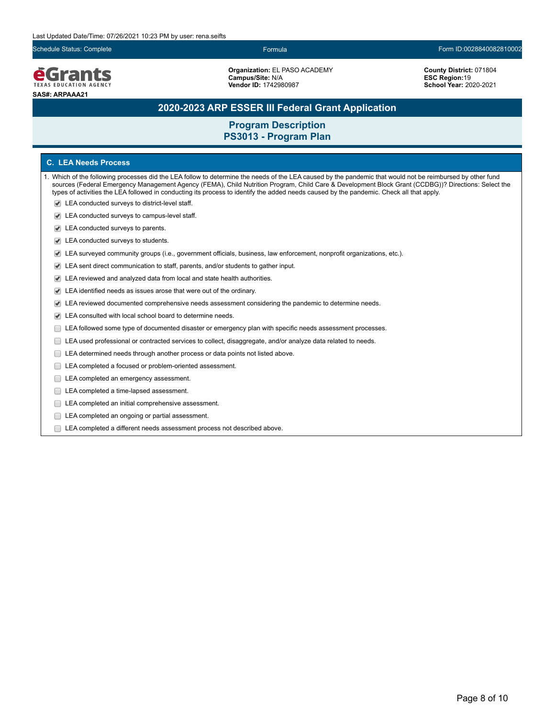

**Organization:** EL PASO ACADEMY **Campus/Site:** N/A **Vendor ID:** 1742980987

**County District:** 071804 **ESC Region:**19 **School Year:** 2020-2021

## **2020-2023 ARP ESSER III Federal Grant Application**

## **Program Description PS3013 - Program Plan**

### **C. LEA Needs Process**

- 1. Which of the following processes did the LEA follow to determine the needs of the LEA caused by the pandemic that would not be reimbursed by other fund sources (Federal Emergency Management Agency (FEMA), Child Nutrition Program, Child Care & Development Block Grant (CCDBG))? Directions: Select the types of activities the LEA followed in conducting its process to identify the added needs caused by the pandemic. Check all that apply.
	- LEA conducted surveys to district-level staff.
	- LEA conducted surveys to campus-level staff.
	- LEA conducted surveys to parents.
	- LEA conducted surveys to students.
	- LEA surveyed community groups (i.e., government officials, business, law enforcement, nonprofit organizations, etc.).
	- LEA sent direct communication to staff, parents, and/or students to gather input.
	- LEA reviewed and analyzed data from local and state health authorities.
	- LEA identified needs as issues arose that were out of the ordinary.
	- LEA reviewed documented comprehensive needs assessment considering the pandemic to determine needs.
	- LEA consulted with local school board to determine needs.
	- LEA followed some type of documented disaster or emergency plan with specific needs assessment processes.
	- LEA used professional or contracted services to collect, disaggregate, and/or analyze data related to needs.
	- $\Box$ LEA determined needs through another process or data points not listed above.
	- LEA completed a focused or problem-oriented assessment.
	- LEA completed an emergency assessment.
	- LEA completed a time-lapsed assessment.
	- **LEA** completed an initial comprehensive assessment.
	- E LEA completed an ongoing or partial assessment.
	- LEA completed a different needs assessment process not described above.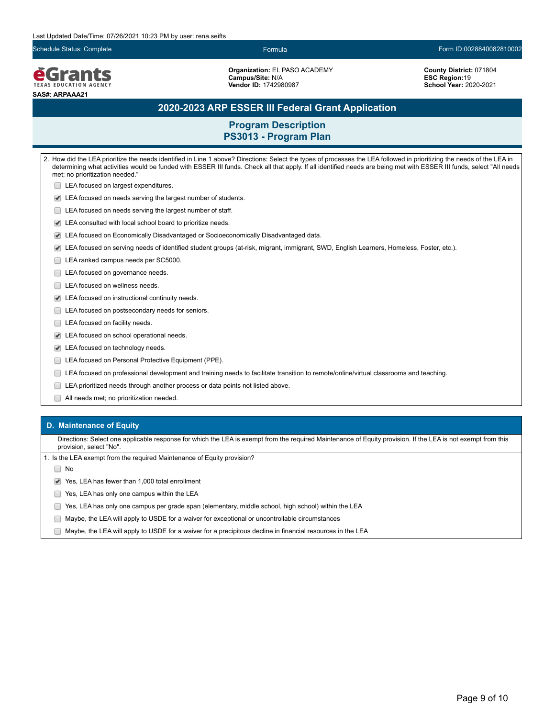**e**Grants **TEXAS EDUCATION AGENCY SAS#: ARPAAA21**

**Organization:** EL PASO ACADEMY **Campus/Site:** N/A **Vendor ID:** 1742980987

**County District:** 071804 **ESC Region:**19 **School Year:** 2020-2021

## **2020-2023 ARP ESSER III Federal Grant Application**

## **Program Description PS3013 - Program Plan**

2. How did the LEA prioritize the needs identified in Line 1 above? Directions: Select the types of processes the LEA followed in prioritizing the needs of the LEA in determining what activities would be funded with ESSER III funds. Check all that apply. If all identified needs are being met with ESSER III funds, select "All needs met; no prioritization needed." **LEA** focused on largest expenditures. LEA focused on needs serving the largest number of students. **LEA** focused on needs serving the largest number of staff. LEA consulted with local school board to prioritize needs. LEA focused on Economically Disadvantaged or Socioeconomically Disadvantaged data. LEA focused on serving needs of identified student groups (at-risk, migrant, immigrant, SWD, English Learners, Homeless, Foster, etc.). LEA ranked campus needs per SC5000. LEA focused on governance needs. □ LEA focused on wellness needs. LEA focused on instructional continuity needs. **LEA** focused on postsecondary needs for seniors. LEA focused on facility needs. LEA focused on school operational needs. LEA focused on technology needs. **LEA focused on Personal Protective Equipment (PPE).** LEA focused on professional development and training needs to facilitate transition to remote/online/virtual classrooms and teaching. LEA prioritized needs through another process or data points not listed above. All needs met; no prioritization needed.

#### **D. Maintenance of Equity**

Directions: Select one applicable response for which the LEA is exempt from the required Maintenance of Equity provision. If the LEA is not exempt from this provision, select "No".

1. Is the LEA exempt from the required Maintenance of Equity provision?

∩ No

 $\blacktriangleright$  Yes, LEA has fewer than 1,000 total enrollment

- **The State State State State State State State State State State State State State State State State State State State State State State State State State State State State State State State State State State State State S**
- Yes, LEA has only one campus per grade span (elementary, middle school, high school) within the LEA
- Maybe, the LEA will apply to USDE for a waiver for exceptional or uncontrollable circumstances
- $\Box$  Maybe, the LEA will apply to USDE for a waiver for a precipitous decline in financial resources in the LEA